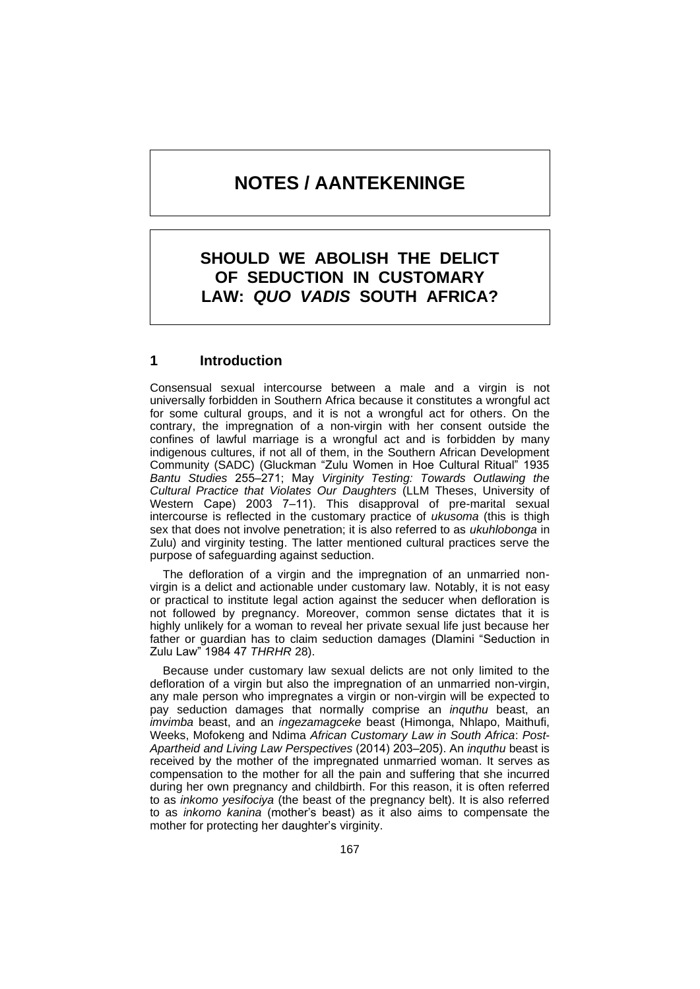# **NOTES / AANTEKENINGE**

# **SHOULD WE ABOLISH THE DELICT OF SEDUCTION IN CUSTOMARY LAW:** *QUO VADIS* **SOUTH AFRICA?**

# **1 Introduction**

Consensual sexual intercourse between a male and a virgin is not universally forbidden in Southern Africa because it constitutes a wrongful act for some cultural groups, and it is not a wrongful act for others. On the contrary, the impregnation of a non-virgin with her consent outside the confines of lawful marriage is a wrongful act and is forbidden by many indigenous cultures, if not all of them, in the Southern African Development Community (SADC) (Gluckman "Zulu Women in Hoe Cultural Ritual" 1935 *Bantu Studies* 255‒271; May *Virginity Testing: Towards Outlawing the Cultural Practice that Violates Our Daughters* (LLM Theses, University of Western Cape) 2003 7–11). This disapproval of pre-marital sexual intercourse is reflected in the customary practice of *ukusoma* (this is thigh sex that does not involve penetration; it is also referred to as *ukuhlobonga* in Zulu) and virginity testing. The latter mentioned cultural practices serve the purpose of safeguarding against seduction.

 The defloration of a virgin and the impregnation of an unmarried nonvirgin is a delict and actionable under customary law. Notably, it is not easy or practical to institute legal action against the seducer when defloration is not followed by pregnancy. Moreover, common sense dictates that it is highly unlikely for a woman to reveal her private sexual life just because her father or guardian has to claim seduction damages (Dlamini "Seduction in Zulu Law" 1984 47 *THRHR* 28).

 Because under customary law sexual delicts are not only limited to the defloration of a virgin but also the impregnation of an unmarried non-virgin, any male person who impregnates a virgin or non-virgin will be expected to pay seduction damages that normally comprise an *inquthu* beast, an *imvimba* beast, and an *ingezamagceke* beast (Himonga, Nhlapo, Maithufi, Weeks, Mofokeng and Ndima *African Customary Law in South Africa*: *Post*-*Apartheid and Living Law Perspectives* (2014) 203‒205). An *inquthu* beast is received by the mother of the impregnated unmarried woman. It serves as compensation to the mother for all the pain and suffering that she incurred during her own pregnancy and childbirth. For this reason, it is often referred to as *inkomo yesifociya* (the beast of the pregnancy belt). It is also referred to as *inkomo kanina* (mother's beast) as it also aims to compensate the mother for protecting her daughter's virginity.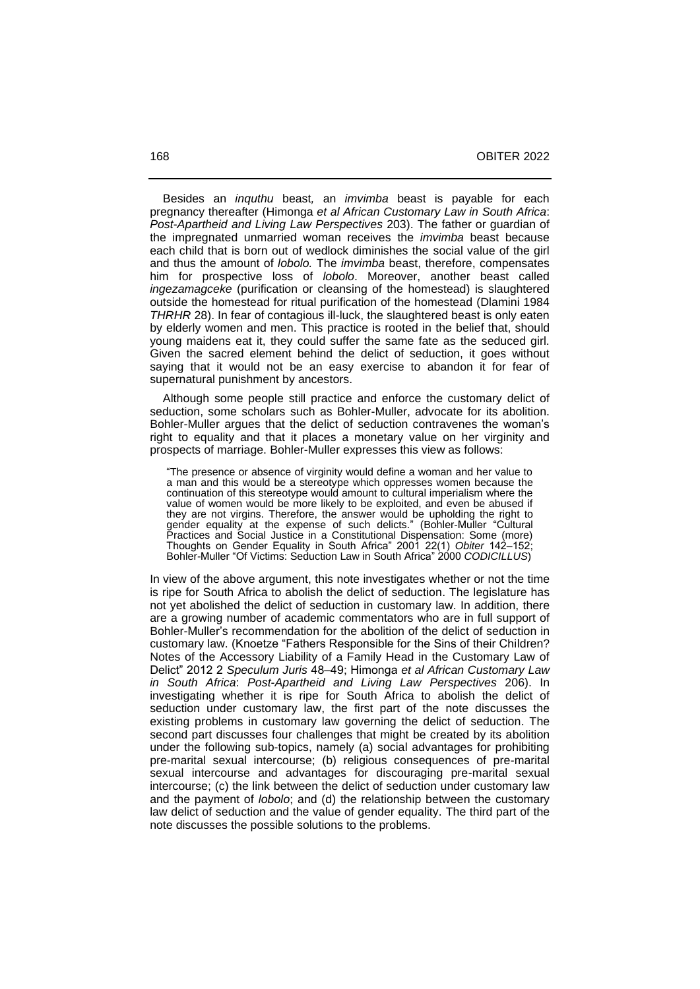Besides an *inquthu* beast*,* an *imvimba* beast is payable for each pregnancy thereafter (Himonga *et al African Customary Law in South Africa*: *Post*-*Apartheid and Living Law Perspectives* 203). The father or guardian of the impregnated unmarried woman receives the *imvimba* beast because each child that is born out of wedlock diminishes the social value of the girl and thus the amount of *lobolo.* The *imvimba* beast, therefore, compensates him for prospective loss of *lobolo*. Moreover, another beast called *ingezamagceke* (purification or cleansing of the homestead) is slaughtered outside the homestead for ritual purification of the homestead (Dlamini 1984 *THRHR* 28). In fear of contagious ill-luck, the slaughtered beast is only eaten by elderly women and men. This practice is rooted in the belief that, should young maidens eat it, they could suffer the same fate as the seduced girl. Given the sacred element behind the delict of seduction, it goes without saying that it would not be an easy exercise to abandon it for fear of supernatural punishment by ancestors.

 Although some people still practice and enforce the customary delict of seduction, some scholars such as Bohler-Muller, advocate for its abolition. Bohler-Muller argues that the delict of seduction contravenes the woman's right to equality and that it places a monetary value on her virginity and prospects of marriage. Bohler-Muller expresses this view as follows:

"The presence or absence of virginity would define a woman and her value to a man and this would be a stereotype which oppresses women because the continuation of this stereotype would amount to cultural imperialism where the value of women would be more likely to be exploited, and even be abused if they are not virgins. Therefore, the answer would be upholding the right to gender equality at the expense of such delicts." (Bohler-Muller "Cultural Practices and Social Justice in a Constitutional Dispensation: Some (more) Thoughts on Gender Equality in South Africa" 2001 22(1) *Obiter* 142‒152; Bohler-Muller "Of Victims: Seduction Law in South Africa" 2000 *CODICILLUS*)

In view of the above argument, this note investigates whether or not the time is ripe for South Africa to abolish the delict of seduction. The legislature has not yet abolished the delict of seduction in customary law. In addition, there are a growing number of academic commentators who are in full support of Bohler-Muller's recommendation for the abolition of the delict of seduction in customary law. (Knoetze "Fathers Responsible for the Sins of their Children? Notes of the Accessory Liability of a Family Head in the Customary Law of Delict" 2012 2 *Speculum Juris* 48‒49; Himonga *et al African Customary Law in South Africa*: *Post*-*Apartheid and Living Law Perspectives* 206). In investigating whether it is ripe for South Africa to abolish the delict of seduction under customary law, the first part of the note discusses the existing problems in customary law governing the delict of seduction. The second part discusses four challenges that might be created by its abolition under the following sub-topics, namely (a) social advantages for prohibiting pre-marital sexual intercourse; (b) religious consequences of pre-marital sexual intercourse and advantages for discouraging pre-marital sexual intercourse; (c) the link between the delict of seduction under customary law and the payment of *lobolo*; and (d) the relationship between the customary law delict of seduction and the value of gender equality. The third part of the note discusses the possible solutions to the problems.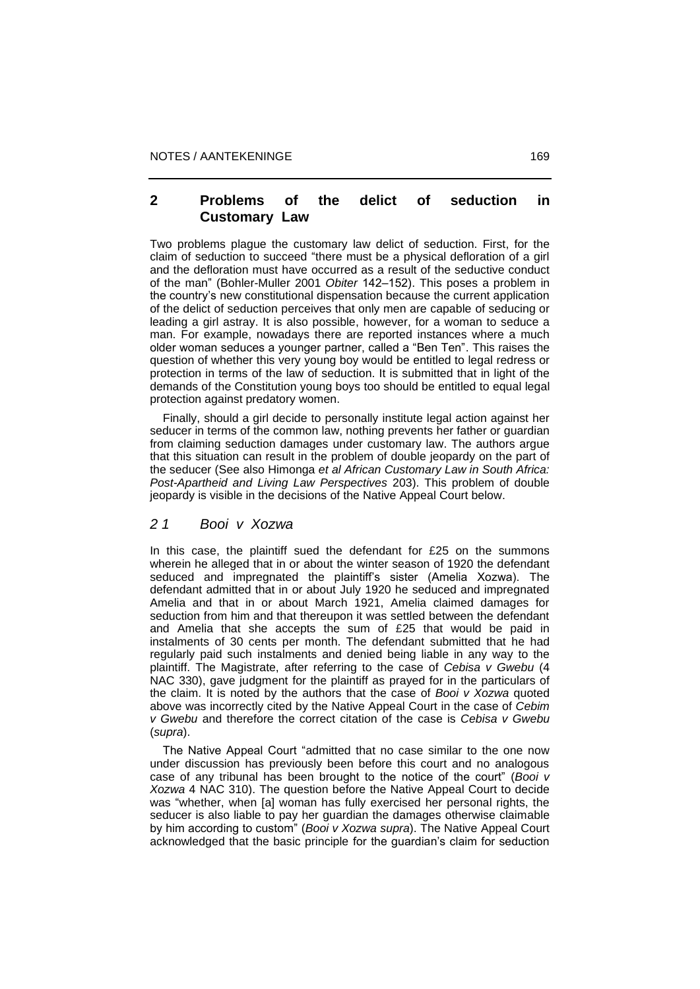### **2 Problems of the delict of seduction in Customary Law**

Two problems plague the customary law delict of seduction. First, for the claim of seduction to succeed "there must be a physical defloration of a girl and the defloration must have occurred as a result of the seductive conduct of the man" (Bohler-Muller 2001 *Obiter* 142–152). This poses a problem in the country's new constitutional dispensation because the current application of the delict of seduction perceives that only men are capable of seducing or leading a girl astray. It is also possible, however, for a woman to seduce a man. For example, nowadays there are reported instances where a much older woman seduces a younger partner, called a "Ben Ten". This raises the question of whether this very young boy would be entitled to legal redress or protection in terms of the law of seduction. It is submitted that in light of the demands of the Constitution young boys too should be entitled to equal legal protection against predatory women.

 Finally, should a girl decide to personally institute legal action against her seducer in terms of the common law, nothing prevents her father or guardian from claiming seduction damages under customary law. The authors argue that this situation can result in the problem of double jeopardy on the part of the seducer (See also Himonga *et al African Customary Law in South Africa: Post-Apartheid and Living Law Perspectives* 203). This problem of double jeopardy is visible in the decisions of the Native Appeal Court below.

#### *2 1 Booi v Xozwa*

In this case, the plaintiff sued the defendant for £25 on the summons wherein he alleged that in or about the winter season of 1920 the defendant seduced and impregnated the plaintiff's sister (Amelia Xozwa). The defendant admitted that in or about July 1920 he seduced and impregnated Amelia and that in or about March 1921, Amelia claimed damages for seduction from him and that thereupon it was settled between the defendant and Amelia that she accepts the sum of £25 that would be paid in instalments of 30 cents per month. The defendant submitted that he had regularly paid such instalments and denied being liable in any way to the plaintiff. The Magistrate, after referring to the case of *Cebisa v Gwebu* (4 NAC 330), gave judgment for the plaintiff as prayed for in the particulars of the claim. It is noted by the authors that the case of *Booi v Xozwa* quoted above was incorrectly cited by the Native Appeal Court in the case of *Cebim v Gwebu* and therefore the correct citation of the case is *Cebisa v Gwebu* (*supra*).

 The Native Appeal Court "admitted that no case similar to the one now under discussion has previously been before this court and no analogous case of any tribunal has been brought to the notice of the court" (*Booi v Xozwa* 4 NAC 310). The question before the Native Appeal Court to decide was "whether, when [a] woman has fully exercised her personal rights, the seducer is also liable to pay her guardian the damages otherwise claimable by him according to custom" (*Booi v Xozwa supra*). The Native Appeal Court acknowledged that the basic principle for the guardian's claim for seduction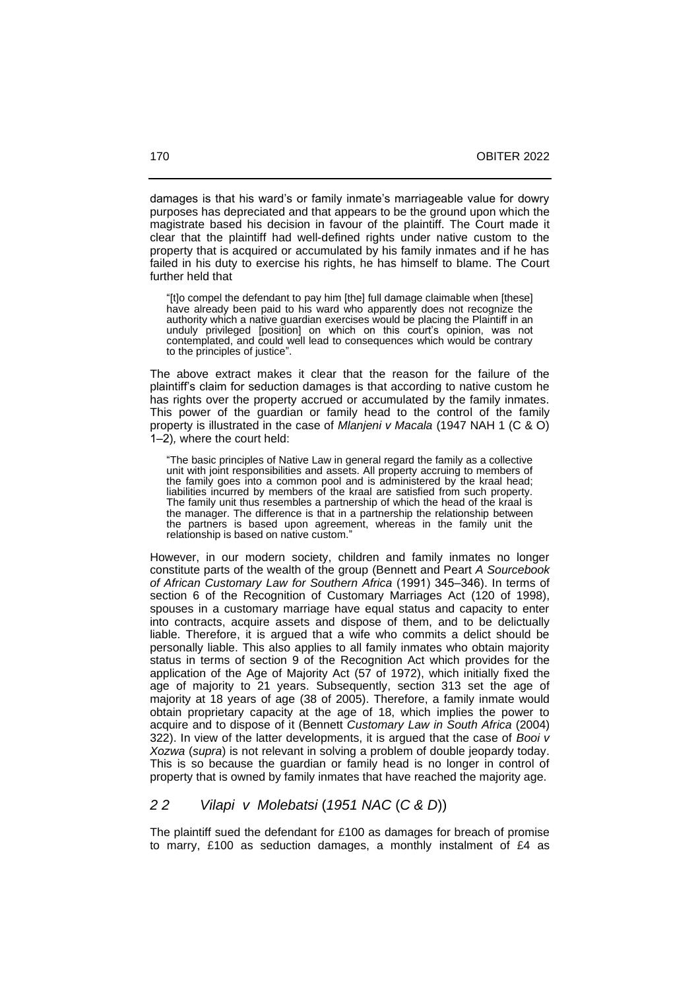damages is that his ward's or family inmate's marriageable value for dowry purposes has depreciated and that appears to be the ground upon which the magistrate based his decision in favour of the plaintiff. The Court made it clear that the plaintiff had well-defined rights under native custom to the property that is acquired or accumulated by his family inmates and if he has failed in his duty to exercise his rights, he has himself to blame. The Court further held that

"[t]o compel the defendant to pay him [the] full damage claimable when [these] have already been paid to his ward who apparently does not recognize the authority which a native guardian exercises would be placing the Plaintiff in an unduly privileged [position] on which on this court's opinion, was not contemplated, and could well lead to consequences which would be contrary to the principles of justice".

The above extract makes it clear that the reason for the failure of the plaintiff's claim for seduction damages is that according to native custom he has rights over the property accrued or accumulated by the family inmates. This power of the guardian or family head to the control of the family property is illustrated in the case of *Mlanjeni v Macala* (1947 NAH 1 (C & O) 1‒2)*,* where the court held:

"The basic principles of Native Law in general regard the family as a collective unit with joint responsibilities and assets. All property accruing to members of the family goes into a common pool and is administered by the kraal head; liabilities incurred by members of the kraal are satisfied from such property. The family unit thus resembles a partnership of which the head of the kraal is the manager. The difference is that in a partnership the relationship between the partners is based upon agreement, whereas in the family unit the relationship is based on native custom."

However, in our modern society, children and family inmates no longer constitute parts of the wealth of the group (Bennett and Peart *A Sourcebook of African Customary Law for Southern Africa* (1991) 345‒346). In terms of section 6 of the Recognition of Customary Marriages Act (120 of 1998), spouses in a customary marriage have equal status and capacity to enter into contracts, acquire assets and dispose of them, and to be delictually liable. Therefore, it is argued that a wife who commits a delict should be personally liable. This also applies to all family inmates who obtain majority status in terms of section 9 of the Recognition Act which provides for the application of the Age of Majority Act (57 of 1972), which initially fixed the age of majority to 21 years. Subsequently, section 313 set the age of majority at 18 years of age (38 of 2005). Therefore, a family inmate would obtain proprietary capacity at the age of 18, which implies the power to acquire and to dispose of it (Bennett *Customary Law in South Africa* (2004) 322). In view of the latter developments, it is argued that the case of *Booi v Xozwa* (*supra*) is not relevant in solving a problem of double jeopardy today. This is so because the guardian or family head is no longer in control of property that is owned by family inmates that have reached the majority age.

#### *2 2 Vilapi v Molebatsi* (*1951 NAC* (*C & D*))

The plaintiff sued the defendant for £100 as damages for breach of promise to marry, £100 as seduction damages, a monthly instalment of £4 as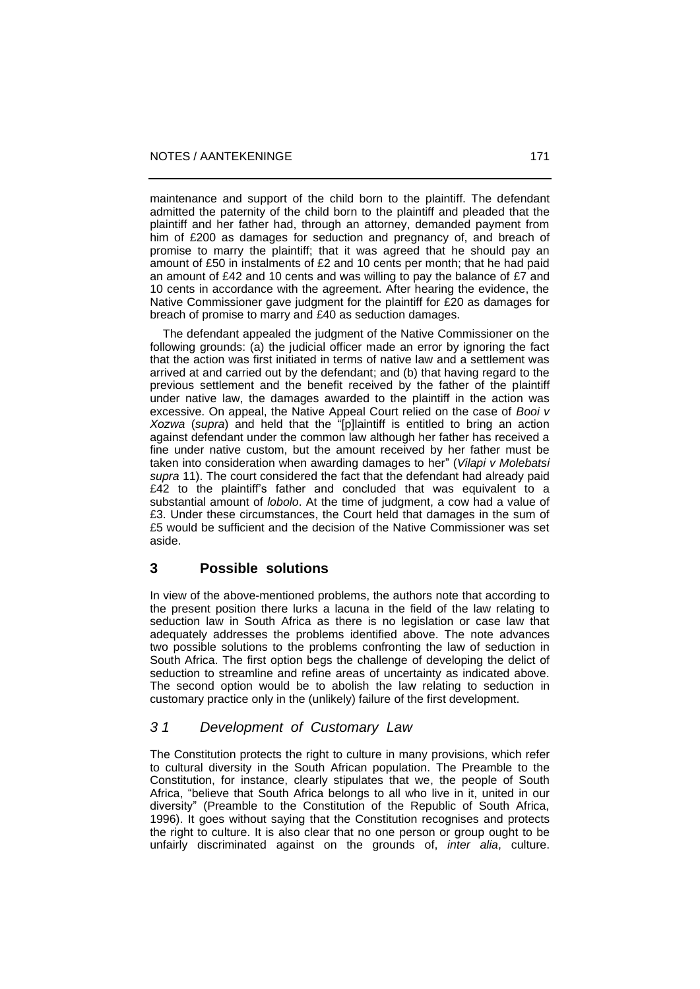maintenance and support of the child born to the plaintiff. The defendant admitted the paternity of the child born to the plaintiff and pleaded that the plaintiff and her father had, through an attorney, demanded payment from him of £200 as damages for seduction and pregnancy of, and breach of promise to marry the plaintiff; that it was agreed that he should pay an amount of £50 in instalments of £2 and 10 cents per month; that he had paid an amount of £42 and 10 cents and was willing to pay the balance of £7 and 10 cents in accordance with the agreement. After hearing the evidence, the Native Commissioner gave judgment for the plaintiff for £20 as damages for breach of promise to marry and £40 as seduction damages.

 The defendant appealed the judgment of the Native Commissioner on the following grounds: (a) the judicial officer made an error by ignoring the fact that the action was first initiated in terms of native law and a settlement was arrived at and carried out by the defendant; and (b) that having regard to the previous settlement and the benefit received by the father of the plaintiff under native law, the damages awarded to the plaintiff in the action was excessive. On appeal, the Native Appeal Court relied on the case of *Booi v Xozwa* (*supra*) and held that the "[p]laintiff is entitled to bring an action against defendant under the common law although her father has received a fine under native custom, but the amount received by her father must be taken into consideration when awarding damages to her" (*Vilapi v Molebatsi supra* 11). The court considered the fact that the defendant had already paid £42 to the plaintiff's father and concluded that was equivalent to a substantial amount of *lobolo*. At the time of judgment, a cow had a value of £3. Under these circumstances, the Court held that damages in the sum of £5 would be sufficient and the decision of the Native Commissioner was set aside.

#### **3 Possible solutions**

In view of the above-mentioned problems, the authors note that according to the present position there lurks a lacuna in the field of the law relating to seduction law in South Africa as there is no legislation or case law that adequately addresses the problems identified above. The note advances two possible solutions to the problems confronting the law of seduction in South Africa. The first option begs the challenge of developing the delict of seduction to streamline and refine areas of uncertainty as indicated above. The second option would be to abolish the law relating to seduction in customary practice only in the (unlikely) failure of the first development.

# *3 1 Development of Customary Law*

The Constitution protects the right to culture in many provisions, which refer to cultural diversity in the South African population. The Preamble to the Constitution, for instance, clearly stipulates that we, the people of South Africa, "believe that South Africa belongs to all who live in it, united in our diversity" (Preamble to the Constitution of the Republic of South Africa, 1996). It goes without saying that the Constitution recognises and protects the right to culture. It is also clear that no one person or group ought to be unfairly discriminated against on the grounds of, *inter alia*, culture.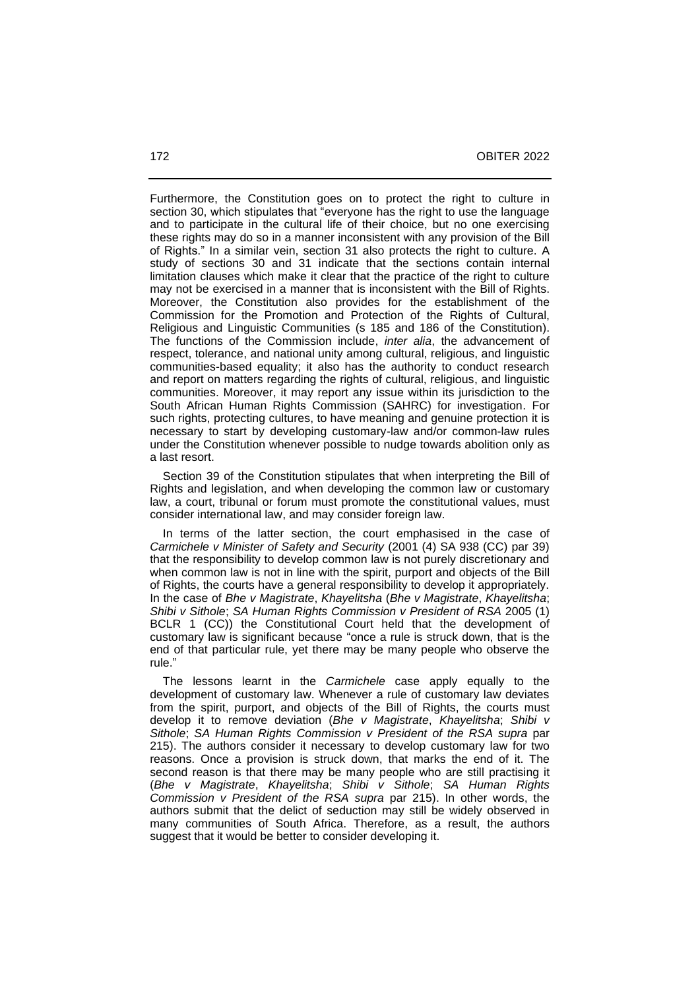Furthermore, the Constitution goes on to protect the right to culture in section 30, which stipulates that "everyone has the right to use the language and to participate in the cultural life of their choice, but no one exercising these rights may do so in a manner inconsistent with any provision of the Bill of Rights." In a similar vein, section 31 also protects the right to culture. A study of sections 30 and 31 indicate that the sections contain internal limitation clauses which make it clear that the practice of the right to culture may not be exercised in a manner that is inconsistent with the Bill of Rights. Moreover, the Constitution also provides for the establishment of the Commission for the Promotion and Protection of the Rights of Cultural, Religious and Linguistic Communities (s 185 and 186 of the Constitution). The functions of the Commission include, *inter alia*, the advancement of respect, tolerance, and national unity among cultural, religious, and linguistic communities-based equality; it also has the authority to conduct research and report on matters regarding the rights of cultural, religious, and linguistic communities. Moreover, it may report any issue within its jurisdiction to the South African Human Rights Commission (SAHRC) for investigation. For such rights, protecting cultures, to have meaning and genuine protection it is necessary to start by developing customary-law and/or common-law rules under the Constitution whenever possible to nudge towards abolition only as a last resort.

 Section 39 of the Constitution stipulates that when interpreting the Bill of Rights and legislation, and when developing the common law or customary law, a court, tribunal or forum must promote the constitutional values, must consider international law, and may consider foreign law.

 In terms of the latter section, the court emphasised in the case of *Carmichele v Minister of Safety and Security* (2001 (4) SA 938 (CC) par 39) that the responsibility to develop common law is not purely discretionary and when common law is not in line with the spirit, purport and objects of the Bill of Rights, the courts have a general responsibility to develop it appropriately. In the case of *Bhe v Magistrate*, *Khayelitsha* (*Bhe v Magistrate*, *Khayelitsha*; *Shibi v Sithole*; *SA Human Rights Commission v President of RSA* 2005 (1) BCLR 1 (CC)) the Constitutional Court held that the development of customary law is significant because "once a rule is struck down, that is the end of that particular rule, yet there may be many people who observe the rule."

 The lessons learnt in the *Carmichele* case apply equally to the development of customary law. Whenever a rule of customary law deviates from the spirit, purport, and objects of the Bill of Rights, the courts must develop it to remove deviation (*Bhe v Magistrate*, *Khayelitsha*; *Shibi v Sithole*; *SA Human Rights Commission v President of the RSA supra* par 215). The authors consider it necessary to develop customary law for two reasons. Once a provision is struck down, that marks the end of it. The second reason is that there may be many people who are still practising it (*Bhe v Magistrate*, *Khayelitsha*; *Shibi v Sithole*; *SA Human Rights Commission v President of the RSA supra* par 215). In other words, the authors submit that the delict of seduction may still be widely observed in many communities of South Africa. Therefore, as a result, the authors suggest that it would be better to consider developing it.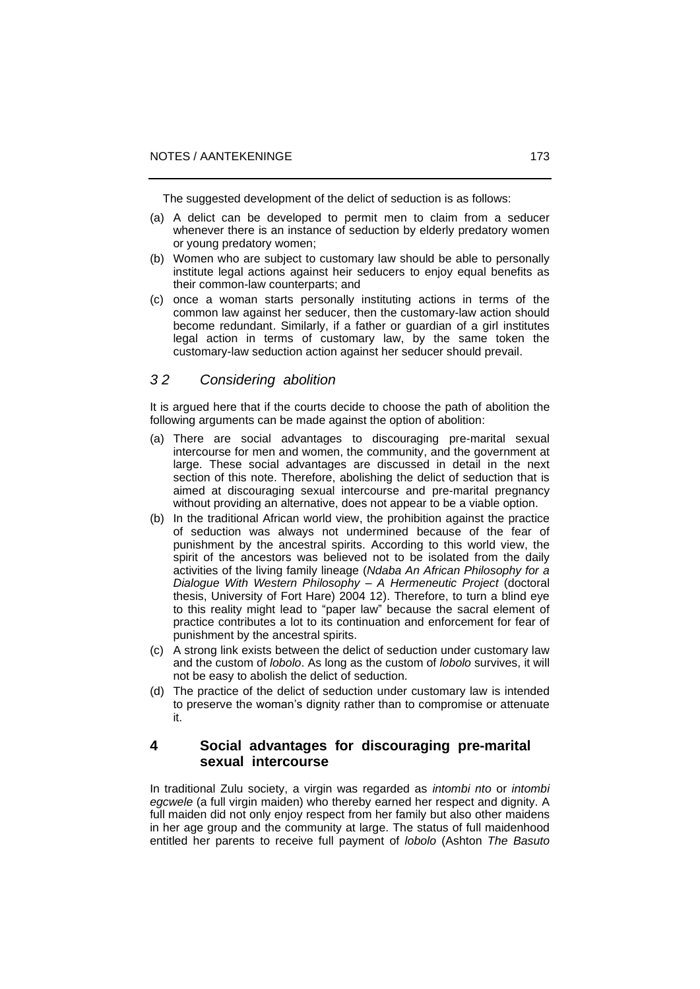The suggested development of the delict of seduction is as follows:

- (a) A delict can be developed to permit men to claim from a seducer whenever there is an instance of seduction by elderly predatory women or young predatory women;
- (b) Women who are subject to customary law should be able to personally institute legal actions against heir seducers to enjoy equal benefits as their common-law counterparts; and
- (c) once a woman starts personally instituting actions in terms of the common law against her seducer, then the customary-law action should become redundant. Similarly, if a father or guardian of a girl institutes legal action in terms of customary law, by the same token the customary-law seduction action against her seducer should prevail.

# *3 2 Considering abolition*

It is argued here that if the courts decide to choose the path of abolition the following arguments can be made against the option of abolition:

- (a) There are social advantages to discouraging pre-marital sexual intercourse for men and women, the community, and the government at large. These social advantages are discussed in detail in the next section of this note. Therefore, abolishing the delict of seduction that is aimed at discouraging sexual intercourse and pre-marital pregnancy without providing an alternative, does not appear to be a viable option.
- (b) In the traditional African world view, the prohibition against the practice of seduction was always not undermined because of the fear of punishment by the ancestral spirits. According to this world view, the spirit of the ancestors was believed not to be isolated from the daily activities of the living family lineage (*Ndaba An African Philosophy for a Dialogue With Western Philosophy – A Hermeneutic Project* (doctoral thesis, University of Fort Hare) 2004 12). Therefore, to turn a blind eye to this reality might lead to "paper law" because the sacral element of practice contributes a lot to its continuation and enforcement for fear of punishment by the ancestral spirits.
- (c) A strong link exists between the delict of seduction under customary law and the custom of *lobolo*. As long as the custom of *lobolo* survives, it will not be easy to abolish the delict of seduction.
- (d) The practice of the delict of seduction under customary law is intended to preserve the woman's dignity rather than to compromise or attenuate it.

# **4 Social advantages for discouraging pre-marital sexual intercourse**

In traditional Zulu society, a virgin was regarded as *intombi nto* or *intombi egcwele* (a full virgin maiden) who thereby earned her respect and dignity. A full maiden did not only enjoy respect from her family but also other maidens in her age group and the community at large. The status of full maidenhood entitled her parents to receive full payment of *lobolo* (Ashton *The Basuto*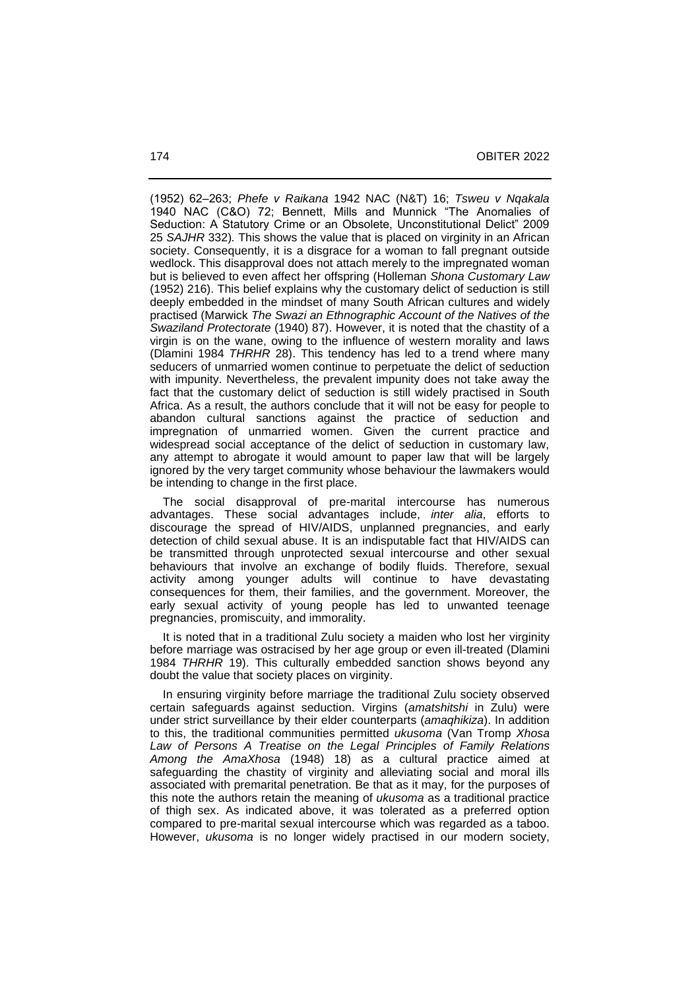(1952) 62‒263; *Phefe v Raikana* 1942 NAC (N&T) 16; *Tsweu v Nqakala*  1940 NAC (C&O) 72; Bennett, Mills and Munnick "The Anomalies of Seduction: A Statutory Crime or an Obsolete, Unconstitutional Delict" 2009 25 *SAJHR* 332)*.* This shows the value that is placed on virginity in an African society. Consequently, it is a disgrace for a woman to fall pregnant outside wedlock. This disapproval does not attach merely to the impregnated woman but is believed to even affect her offspring (Holleman *Shona Customary Law* (1952) 216). This belief explains why the customary delict of seduction is still deeply embedded in the mindset of many South African cultures and widely practised (Marwick *The Swazi an Ethnographic Account of the Natives of the Swaziland Protectorate* (1940) 87). However, it is noted that the chastity of a virgin is on the wane, owing to the influence of western morality and laws (Dlamini 1984 *THRHR* 28). This tendency has led to a trend where many seducers of unmarried women continue to perpetuate the delict of seduction with impunity. Nevertheless, the prevalent impunity does not take away the fact that the customary delict of seduction is still widely practised in South Africa. As a result, the authors conclude that it will not be easy for people to abandon cultural sanctions against the practice of seduction and impregnation of unmarried women. Given the current practice and widespread social acceptance of the delict of seduction in customary law, any attempt to abrogate it would amount to paper law that will be largely ignored by the very target community whose behaviour the lawmakers would be intending to change in the first place.

 The social disapproval of pre-marital intercourse has numerous advantages. These social advantages include, *inter alia*, efforts to discourage the spread of HIV/AIDS, unplanned pregnancies, and early detection of child sexual abuse. It is an indisputable fact that HIV/AIDS can be transmitted through unprotected sexual intercourse and other sexual behaviours that involve an exchange of bodily fluids. Therefore, sexual activity among younger adults will continue to have devastating consequences for them, their families, and the government. Moreover, the early sexual activity of young people has led to unwanted teenage pregnancies, promiscuity, and immorality.

 It is noted that in a traditional Zulu society a maiden who lost her virginity before marriage was ostracised by her age group or even ill-treated (Dlamini 1984 *THRHR* 19). This culturally embedded sanction shows beyond any doubt the value that society places on virginity.

 In ensuring virginity before marriage the traditional Zulu society observed certain safeguards against seduction. Virgins (*amatshitshi* in Zulu) were under strict surveillance by their elder counterparts (*amaqhikiza*). In addition to this, the traditional communities permitted *ukusoma* (Van Tromp *Xhosa Law of Persons A Treatise on the Legal Principles of Family Relations Among the AmaXhosa* (1948) 18) as a cultural practice aimed at safeguarding the chastity of virginity and alleviating social and moral ills associated with premarital penetration. Be that as it may, for the purposes of this note the authors retain the meaning of *ukusoma* as a traditional practice of thigh sex. As indicated above, it was tolerated as a preferred option compared to pre-marital sexual intercourse which was regarded as a taboo. However, *ukusoma* is no longer widely practised in our modern society,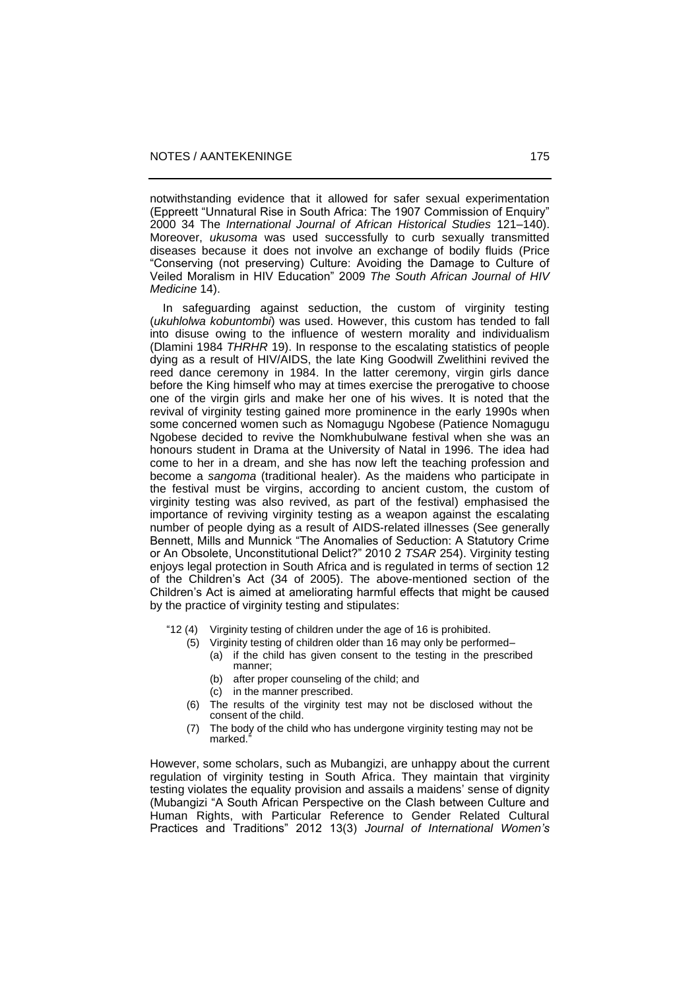notwithstanding evidence that it allowed for safer sexual experimentation (Eppreett "Unnatural Rise in South Africa: The 1907 Commission of Enquiry" 2000 34 The *International Journal of African Historical Studies* 121‒140). Moreover, *ukusoma* was used successfully to curb sexually transmitted diseases because it does not involve an exchange of bodily fluids (Price "Conserving (not preserving) Culture: Avoiding the Damage to Culture of Veiled Moralism in HIV Education" 2009 *The South African Journal of HIV Medicine* 14).

 In safeguarding against seduction, the custom of virginity testing (*ukuhlolwa kobuntombi*) was used. However, this custom has tended to fall into disuse owing to the influence of western morality and individualism (Dlamini 1984 *THRHR* 19). In response to the escalating statistics of people dying as a result of HIV/AIDS, the late King Goodwill Zwelithini revived the reed dance ceremony in 1984. In the latter ceremony, virgin girls dance before the King himself who may at times exercise the prerogative to choose one of the virgin girls and make her one of his wives. It is noted that the revival of virginity testing gained more prominence in the early 1990s when some concerned women such as Nomagugu Ngobese (Patience Nomagugu Ngobese decided to revive the Nomkhubulwane festival when she was an honours student in Drama at the University of Natal in 1996. The idea had come to her in a dream, and she has now left the teaching profession and become a *sangoma* (traditional healer). As the maidens who participate in the festival must be virgins, according to ancient custom, the custom of virginity testing was also revived, as part of the festival) emphasised the importance of reviving virginity testing as a weapon against the escalating number of people dying as a result of AIDS-related illnesses (See generally Bennett, Mills and Munnick "The Anomalies of Seduction: A Statutory Crime or An Obsolete, Unconstitutional Delict?" 2010 2 *TSAR* 254). Virginity testing enjoys legal protection in South Africa and is regulated in terms of section 12 of the Children's Act (34 of 2005). The above-mentioned section of the Children's Act is aimed at ameliorating harmful effects that might be caused by the practice of virginity testing and stipulates:

- "12 (4) Virginity testing of children under the age of 16 is prohibited.
	- (5) Virginity testing of children older than 16 may only be performed-(a) if the child has given consent to the testing in the prescribed manner;
		- (b) after proper counseling of the child; and
		- (c) in the manner prescribed.
	- (6) The results of the virginity test may not be disclosed without the consent of the child.
	- (7) The body of the child who has undergone virginity testing may not be marked.

However, some scholars, such as Mubangizi, are unhappy about the current regulation of virginity testing in South Africa. They maintain that virginity testing violates the equality provision and assails a maidens' sense of dignity (Mubangizi "A South African Perspective on the Clash between Culture and Human Rights, with Particular Reference to Gender Related Cultural Practices and Traditions" 2012 13(3) *Journal of International Women's*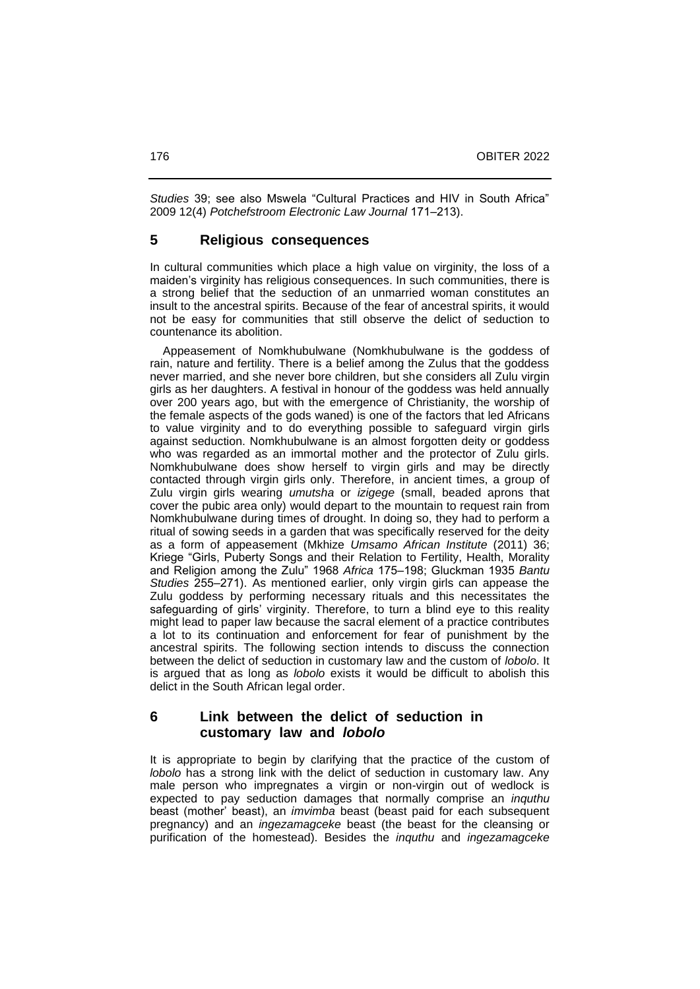*Studies* 39; see also Mswela "Cultural Practices and HIV in South Africa" 2009 12(4) *Potchefstroom Electronic Law Journal* 171‒213).

### **5 Religious consequences**

In cultural communities which place a high value on virginity, the loss of a maiden's virginity has religious consequences. In such communities, there is a strong belief that the seduction of an unmarried woman constitutes an insult to the ancestral spirits. Because of the fear of ancestral spirits, it would not be easy for communities that still observe the delict of seduction to countenance its abolition.

 Appeasement of Nomkhubulwane (Nomkhubulwane is the goddess of rain, nature and fertility. There is a belief among the Zulus that the goddess never married, and she never bore children, but she considers all Zulu virgin girls as her daughters. A festival in honour of the goddess was held annually over 200 years ago, but with the emergence of Christianity, the worship of the female aspects of the gods waned) is one of the factors that led Africans to value virginity and to do everything possible to safeguard virgin girls against seduction. Nomkhubulwane is an almost forgotten deity or goddess who was regarded as an immortal mother and the protector of Zulu girls. Nomkhubulwane does show herself to virgin girls and may be directly contacted through virgin girls only. Therefore, in ancient times, a group of Zulu virgin girls wearing *umutsha* or *izigege* (small, beaded aprons that cover the pubic area only) would depart to the mountain to request rain from Nomkhubulwane during times of drought. In doing so, they had to perform a ritual of sowing seeds in a garden that was specifically reserved for the deity as a form of appeasement (Mkhize *Umsamo African Institute* (2011) 36; Kriege "Girls, Puberty Songs and their Relation to Fertility, Health, Morality and Religion among the Zulu" 1968 Africa 175-198; Gluckman 1935 Bantu *Studies* 255–271). As mentioned earlier, only virgin girls can appease the Zulu goddess by performing necessary rituals and this necessitates the safeguarding of girls' virginity. Therefore, to turn a blind eye to this reality might lead to paper law because the sacral element of a practice contributes a lot to its continuation and enforcement for fear of punishment by the ancestral spirits. The following section intends to discuss the connection between the delict of seduction in customary law and the custom of *lobolo*. It is argued that as long as *lobolo* exists it would be difficult to abolish this delict in the South African legal order.

# **6 Link between the delict of seduction in customary law and** *lobolo*

It is appropriate to begin by clarifying that the practice of the custom of *lobolo* has a strong link with the delict of seduction in customary law. Any male person who impregnates a virgin or non-virgin out of wedlock is expected to pay seduction damages that normally comprise an *inquthu* beast (mother' beast), an *imvimba* beast (beast paid for each subsequent pregnancy) and an *ingezamagceke* beast (the beast for the cleansing or purification of the homestead). Besides the *inquthu* and *ingezamagceke*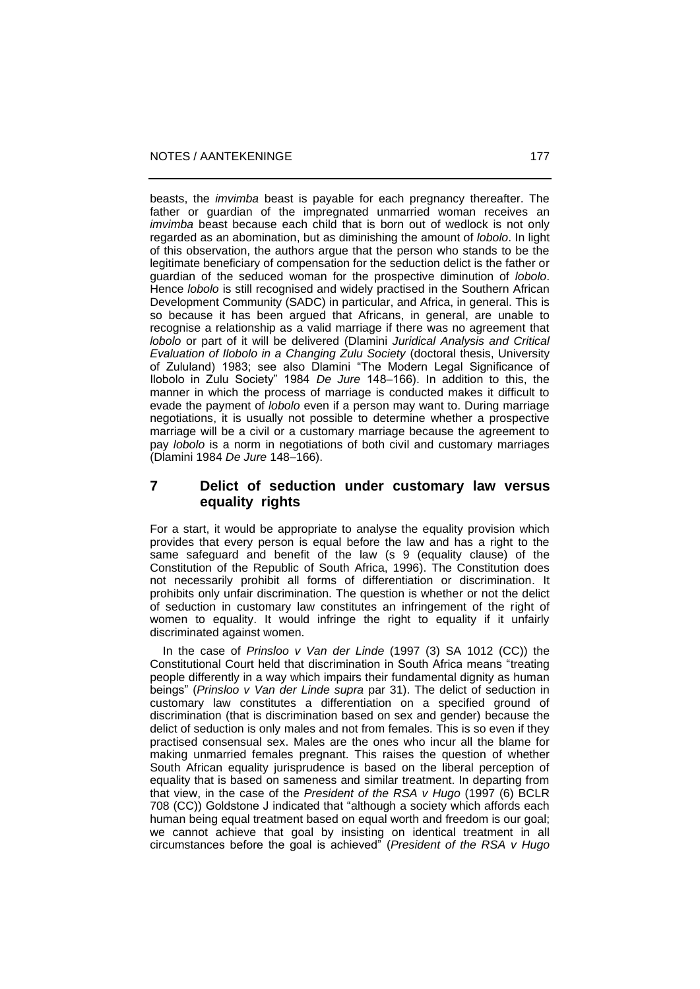beasts, the *imvimba* beast is payable for each pregnancy thereafter. The father or guardian of the impregnated unmarried woman receives an *imvimba* beast because each child that is born out of wedlock is not only regarded as an abomination, but as diminishing the amount of *lobolo*. In light of this observation, the authors argue that the person who stands to be the legitimate beneficiary of compensation for the seduction delict is the father or guardian of the seduced woman for the prospective diminution of *lobolo*. Hence *lobolo* is still recognised and widely practised in the Southern African Development Community (SADC) in particular, and Africa, in general. This is so because it has been argued that Africans, in general, are unable to recognise a relationship as a valid marriage if there was no agreement that *lobolo* or part of it will be delivered (Dlamini *Juridical Analysis and Critical Evaluation of Ilobolo in a Changing Zulu Society* (doctoral thesis, University of Zululand) 1983; see also Dlamini "The Modern Legal Significance of Ilobolo in Zulu Society" 1984 *De Jure* 148-166). In addition to this, the manner in which the process of marriage is conducted makes it difficult to evade the payment of *lobolo* even if a person may want to. During marriage negotiations, it is usually not possible to determine whether a prospective marriage will be a civil or a customary marriage because the agreement to pay *lobolo* is a norm in negotiations of both civil and customary marriages (Dlamini 1984 *De Jure* 148‒166).

# **7 Delict of seduction under customary law versus equality rights**

For a start, it would be appropriate to analyse the equality provision which provides that every person is equal before the law and has a right to the same safeguard and benefit of the law (s 9 (equality clause) of the Constitution of the Republic of South Africa, 1996). The Constitution does not necessarily prohibit all forms of differentiation or discrimination. It prohibits only unfair discrimination. The question is whether or not the delict of seduction in customary law constitutes an infringement of the right of women to equality. It would infringe the right to equality if it unfairly discriminated against women.

 In the case of *Prinsloo v Van der Linde* (1997 (3) SA 1012 (CC)) the Constitutional Court held that discrimination in South Africa means "treating people differently in a way which impairs their fundamental dignity as human beings" (*Prinsloo v Van der Linde supra* par 31). The delict of seduction in customary law constitutes a differentiation on a specified ground of discrimination (that is discrimination based on sex and gender) because the delict of seduction is only males and not from females. This is so even if they practised consensual sex. Males are the ones who incur all the blame for making unmarried females pregnant. This raises the question of whether South African equality jurisprudence is based on the liberal perception of equality that is based on sameness and similar treatment. In departing from that view, in the case of the *President of the RSA v Hugo* (1997 (6) BCLR 708 (CC)) Goldstone J indicated that "although a society which affords each human being equal treatment based on equal worth and freedom is our goal; we cannot achieve that goal by insisting on identical treatment in all circumstances before the goal is achieved" (*President of the RSA v Hugo*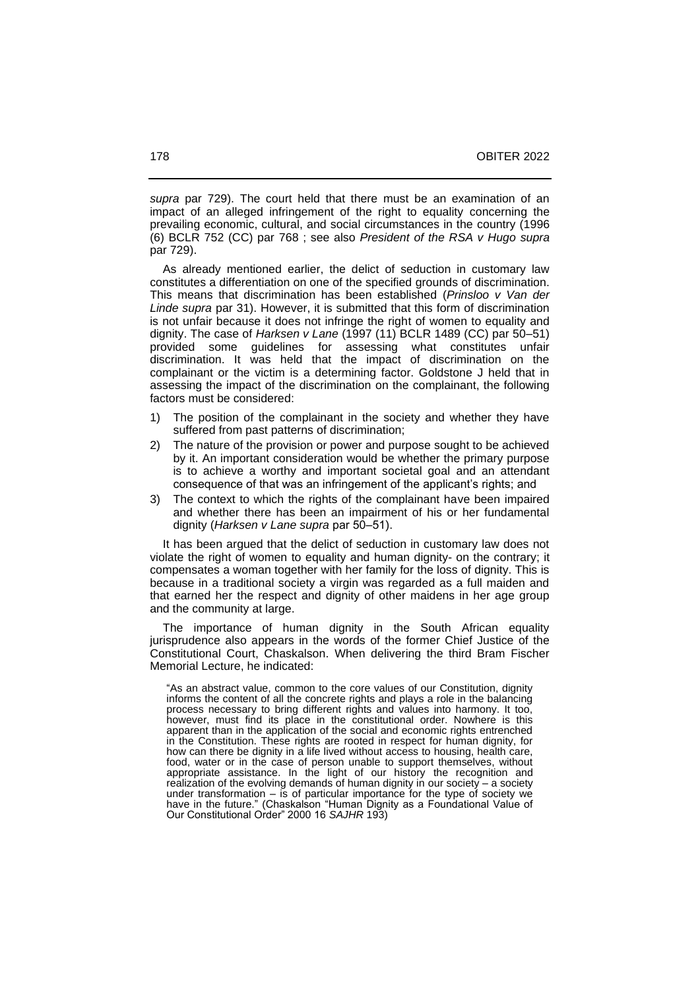*supra* par 729). The court held that there must be an examination of an impact of an alleged infringement of the right to equality concerning the prevailing economic, cultural, and social circumstances in the country (1996 (6) BCLR 752 (CC) par 768 ; see also *President of the RSA v Hugo supra* par 729).

 As already mentioned earlier, the delict of seduction in customary law constitutes a differentiation on one of the specified grounds of discrimination. This means that discrimination has been established (*Prinsloo v Van der Linde supra* par 31). However, it is submitted that this form of discrimination is not unfair because it does not infringe the right of women to equality and dignity. The case of *Harksen v Lane* (1997 (11) BCLR 1489 (CC) par 50‒51) provided some guidelines for assessing what constitutes unfair discrimination. It was held that the impact of discrimination on the complainant or the victim is a determining factor. Goldstone J held that in assessing the impact of the discrimination on the complainant, the following factors must be considered:

- 1) The position of the complainant in the society and whether they have suffered from past patterns of discrimination;
- 2) The nature of the provision or power and purpose sought to be achieved by it. An important consideration would be whether the primary purpose is to achieve a worthy and important societal goal and an attendant consequence of that was an infringement of the applicant's rights; and
- 3) The context to which the rights of the complainant have been impaired and whether there has been an impairment of his or her fundamental dignity (Harksen v Lane supra par 50-51).

 It has been argued that the delict of seduction in customary law does not violate the right of women to equality and human dignity- on the contrary; it compensates a woman together with her family for the loss of dignity. This is because in a traditional society a virgin was regarded as a full maiden and that earned her the respect and dignity of other maidens in her age group and the community at large.

 The importance of human dignity in the South African equality jurisprudence also appears in the words of the former Chief Justice of the Constitutional Court, Chaskalson. When delivering the third Bram Fischer Memorial Lecture, he indicated:

"As an abstract value, common to the core values of our Constitution, dignity informs the content of all the concrete rights and plays a role in the balancing process necessary to bring different rights and values into harmony. It too, however, must find its place in the constitutional order. Nowhere is this apparent than in the application of the social and economic rights entrenched in the Constitution. These rights are rooted in respect for human dignity, for how can there be dignity in a life lived without access to housing, health care, food, water or in the case of person unable to support themselves, without appropriate assistance. In the light of our history the recognition and realization of the evolving demands of human dignity in our society – a society under transformation  $-$  is of particular importance for the type of society we have in the future." (Chaskalson "Human Dignity as a Foundational Value of Our Constitutional Order" 2000 16 *SAJHR* 193)